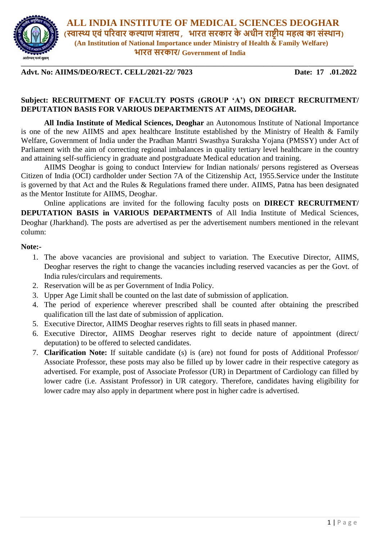

 **ALL INDIA INSTITUTE OF MEDICAL SCIENCES DEOGHAR (स्वास्थ्य एवं परिवाि कल्याण मंत्रालय, भाित सिकाि के अधीन िाष्ट्रीय महत्व का संस्थान) (An Institution of National Importance under Ministry of Health & Family Welfare) भाित सिकाि/ Government of India**

**Advt. No: AIIMS/DEO/RECT. CELL/2021-22/ 7023 Date: 17 .01.2022**

### **Subject: RECRUITMENT OF FACULTY POSTS (GROUP 'A') ON DIRECT RECRUITMENT/ DEPUTATION BASIS FOR VARIOUS DEPARTMENTS AT AIIMS, DEOGHAR.**

**All India Institute of Medical Sciences, Deoghar** an Autonomous Institute of National Importance is one of the new AIIMS and apex healthcare Institute established by the Ministry of Health & Family Welfare, Government of India under the Pradhan Mantri Swasthya Suraksha Yojana (PMSSY) under Act of Parliament with the aim of correcting regional imbalances in quality tertiary level healthcare in the country and attaining self-sufficiency in graduate and postgraduate Medical education and training.

AIIMS Deoghar is going to conduct Interview for Indian nationals/ persons registered as Overseas Citizen of India (OCI) cardholder under Section 7A of the Citizenship Act, 1955.Service under the Institute is governed by that Act and the Rules & Regulations framed there under. AIIMS, Patna has been designated as the Mentor Institute for AIIMS, Deoghar.

Online applications are invited for the following faculty posts on **DIRECT RECRUITMENT/ DEPUTATION BASIS in VARIOUS DEPARTMENTS** of All India Institute of Medical Sciences, Deoghar (Jharkhand). The posts are advertised as per the advertisement numbers mentioned in the relevant column:

#### **Note:-**

- 1. The above vacancies are provisional and subject to variation. The Executive Director, AIIMS, Deoghar reserves the right to change the vacancies including reserved vacancies as per the Govt. of India rules/circulars and requirements.
- 2. Reservation will be as per Government of India Policy.
- 3. Upper Age Limit shall be counted on the last date of submission of application.
- 4. The period of experience wherever prescribed shall be counted after obtaining the prescribed qualification till the last date of submission of application.
- 5. Executive Director, AIIMS Deoghar reserves rights to fill seats in phased manner.
- 6. Executive Director, AIIMS Deoghar reserves right to decide nature of appointment (direct/ deputation) to be offered to selected candidates.
- 7. **Clarification Note:** If suitable candidate (s) is (are) not found for posts of Additional Professor/ Associate Professor, these posts may also be filled up by lower cadre in their respective category as advertised. For example, post of Associate Professor (UR) in Department of Cardiology can filled by lower cadre (i.e. Assistant Professor) in UR category. Therefore, candidates having eligibility for lower cadre may also apply in department where post in higher cadre is advertised.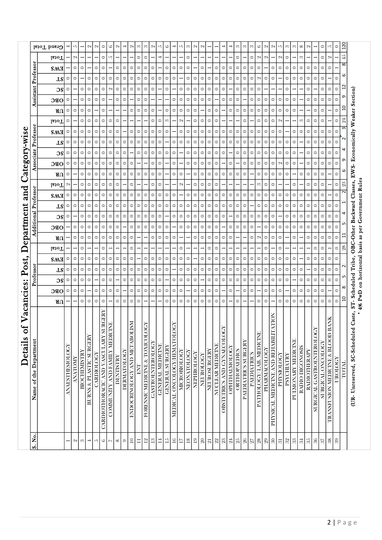|              |                        | Grand Total    |                   | S                 |                     | $\sim$                             | $\mathbf{\Omega}$ | 0                                               | $\circ$                          | $\mathbf{\Omega}$ |                    | $\mathbf{\Omega}$            | S        | S                                              | $\mathbf{\Omega}$       | 5                | 6               |                                 | 5                        | က           | $\sim$     | $\sim$                           |              |                         |                            |                      | $\infty$            | S                   | S                  | ७                       | N                 | $\mathbf{\Omega}$                               | S                 | $\infty$          | S                  | $^{\circ}$      | $\sim$              |                                  | $\circ$                  | 5                                    | $\circ$ | 20             |                                         |
|--------------|------------------------|----------------|-------------------|-------------------|---------------------|------------------------------------|-------------------|-------------------------------------------------|----------------------------------|-------------------|--------------------|------------------------------|----------|------------------------------------------------|-------------------------|------------------|-----------------|---------------------------------|--------------------------|-------------|------------|----------------------------------|--------------|-------------------------|----------------------------|----------------------|---------------------|---------------------|--------------------|-------------------------|-------------------|-------------------------------------------------|-------------------|-------------------|--------------------|-----------------|---------------------|----------------------------------|--------------------------|--------------------------------------|---------|----------------|-----------------------------------------|
|              |                        | <b>Lotal</b>   |                   | $\mathbf{\Omega}$ |                     |                                    |                   | 0                                               | 5                                |                   |                    |                              | 0        | ○                                              |                         | 4                |                 |                                 |                          | 0           |            |                                  |              |                         |                            |                      | 0                   |                     | 0                  | $\sim$                  | $\mathbf{\Omega}$ |                                                 | $\sim$            | 0                 |                    | 8               |                     |                                  | 0                        | $\mathbf{\Omega}$                    |         | 45             |                                         |
|              | Professon              | <b>SMH</b>     |                   | $\circ$           | 0                   |                                    | 0                 | $\circ$                                         |                                  | $\circ$           | $\circ$            | $\circ$                      | $\circ$  | $\circ$                                        | 0                       |                  | $\circ$         | $\circ$                         | 0                        | $\circ$     |            | 0                                |              | 0                       | 0                          | 0                    | $\circ$             | $\circ$             | 0                  | 0                       |                   | $\circ$                                         | $\circ$           | $\circ$           | 0                  | $\circ$         | 0                   | 0                                | $\circ$                  | $\circ$                              |         | $\infty$       |                                         |
|              |                        | TS             | $\circ$           | $\circ$           |                     | $\circ$                            | $\circ$           | $\circ$                                         | $\circ$                          | $\circ$           | $\circ$            | $\circ$                      | $\circ$  | $\circ$                                        | $\circ$                 | $\circ$          | $\circ$         | $\circ$                         |                          | $\circ$     | $\circ$    | $\circ$                          | $\circ$      | $\circ$                 | $\circ$                    | $\circ$              | $\circ$             | $\circ$             | $\circ$            | $\sim$                  | $\circ$           | $\circ$                                         |                   | $\circ$           | $\circ$            | $\circ$         | $\circ$             | $\circ$                          | $\circ$                  |                                      | $\circ$ | 6              |                                         |
|              |                        | ЭS             | $\circ$           |                   | $\circ$             | $\circ$                            | $\circ$           | 0                                               | $\mathbf{\Omega}$                | $\circ$           | $\circ$            | $\circ$                      | $\circ$  | $\circ$                                        | $\circ$                 |                  | $\circ$         |                                 | 0                        | $\circ$     | $\circ$    | $\circ$                          | $\circ$      | $\circ$                 | $\circ$                    |                      | $\circ$             | $\circ$             | 0                  | 0                       |                   |                                                 |                   | 0                 |                    |                 | 0                   |                                  | 0                        | $\circ$                              | $\circ$ | S              |                                         |
|              | Assistant              | OBC            | $\circ$           |                   | $\circ$             | $\circ$                            | $\circ$           | $\circ$                                         |                                  | $\circ$           | $\circ$            |                              | $\circ$  | 0                                              |                         |                  |                 | $\circ$                         | $\circ$                  | $\circ$     | $\circ$    | $\circ$                          | $\circ$      |                         | $\circ$                    | 0                    | $\circ$             |                     | $\circ$            | $\circ$                 | $\circ$           | $\circ$                                         | $\circ$           | $\circ$           | $\circ$            |                 | 0                   | $\circ$                          | $\circ$                  | $\circ$                              | $\circ$ | თ              |                                         |
|              |                        | ЯU             | $\circ$           | $\circ$           | $\circ$             | $\circ$                            |                   | $\circ$                                         |                                  |                   |                    | $\circ$                      | $\circ$  | $\circ$                                        | $\circ$                 |                  | $\circ$         | $\circ$                         | $\circ$                  | $\circ$     | $\circ$    |                                  | $\bullet$    | $\circ$                 |                            | 0                    | $\circ$             | $\circ$             | $\circ$            | $\circ$                 | $\circ$           | $\circ$                                         | $\circ$           | $\circ$           | $\circ$            |                 |                     | 0                                | $\bullet$                |                                      | $\circ$ | $\overline{a}$ | eaker Section)                          |
|              |                        | <b>Lotal</b>   | $\circ$           |                   | $\circ$             | $\circ$                            | $\circ$           | 0                                               | 0                                | 0                 |                    |                              |          |                                                | $\circ$                 | 0                | S               |                                 | N                        |             | $\circ$    | $\circ$                          | $\circ$      | 0                       |                            |                      |                     | $\circ$             |                    | $\circ$                 | $\circ$           | $\circ$                                         | $\mathbf{\Omega}$ |                   |                    | S               | 0                   | 0                                | $\circ$                  |                                      | $\circ$ | 24             | ≽                                       |
| ategory-wise | Professo               | <b>EMS</b>     | $\circ$           | $\circ$           | $\circ$             | $\circ$                            | $\circ$           | $\circ$                                         | $\circ$                          | $\circ$           |                    | $\circ$                      | $\circ$  | $\circ$                                        | $\circ$                 | $\circ$          | $\circ$         |                                 | $\circ$                  | $\circ$     | $\circ$    | $\circ$                          | $\circ$      | $\circ$                 | $\circ$                    | $\circ$              | $\circ$             | $\circ$             | $\circ$            | $\circ$                 | $\circ$           | $\circ$                                         | $\circ$           |                   | $\circ$            | $\circ$         | $\circ$             | $\circ$                          | $\circ$                  | $\circ$                              | $\circ$ | S              |                                         |
|              |                        | LS             | $\circ$           | $\circ$           | $\circ$             | $\circ$                            | $\circ$           | $\circ$                                         | $\circ$                          | $\circ$           | $\circ$            | $\circ$                      | $\circ$  | $\circ$                                        | $\circ$                 | $\circ$          |                 | $\circ$                         | $\circ$                  | $\circ$     | $\circ$    | $\circ$                          | $\circ$      | $\circ$                 | $\circ$                    | $\circ$              | $\circ$             | $\circ$             | $\circ$            | $\circ$                 | $\circ$           | $\circ$                                         | $\circ$           | $\circ$           | $\circ$            |                 | $\circ$             | $\circ$                          | $\circ$                  | $\circ$                              | $\circ$ |                | Economically                            |
|              |                        | $\overline{S}$ | $\circ$           | $\circ$           | $\bullet$           | $\circ$                            | $\circ$           | $\circ$                                         | $\circ$                          | $\circ$           | $\circ$            |                              | $\circ$  | $\circ$                                        | $\circ$                 | 0                | $\circ$         | $\circ$                         |                          | $\circ$     | $\circ$    | $\circ$                          | $\circ$      | $\circ$                 | $\circ$                    |                      | $\circ$             | $\circ$             | $\circ$            | $\circ$                 | $\circ$           | $\circ$                                         | $\circ$           | $\circ$           | $\circ$            |                 | $\bullet$           | $\circ$                          | $\bullet$                | $\bullet$                            | $\circ$ |                |                                         |
|              |                        | OBC            | $\circ$           | $\circ$           | $\circ$             | $\circ$                            | $\circ$           | $\circ$                                         | $\circ$                          | $\circ$           | $\circ$            | $\circ$                      |          |                                                | $\circ$                 | $\circ$          |                 | $\circ$                         |                          | $\circ$     | $\circ$    | $\circ$                          | $\circ$      | $\circ$                 |                            | 0                    |                     | $\circ$             | $\circ$            | $\circ$                 | $\circ$           | $\circ$                                         | $\sim$            | $\circ$           | $\circ$            |                 | 0                   | $\circ$                          | $\circ$                  | $\circ$                              | $\circ$ | Ō              |                                         |
|              |                        | ЯU             | $\circ$           |                   | $\circ$             | $\circ$                            | $\circ$           | 0                                               | $\circ$                          | $\circ$           | $\circ$            | $\circ$                      | $\circ$  | $\circ$                                        | $\circ$                 | $\circ$          |                 | $\circ$                         | 0                        |             | $\circ$    | $\circ$                          | $\circ$      | $\circ$                 | $\circ$                    | $\circ$              | $\circ$             | $\circ$             |                    | 0                       | $\circ$           | $\circ$                                         | $\circ$           | $\circ$           |                    | $\circ$         | 0                   | $\circ$                          | 0                        |                                      | $\circ$ | ဖ              | EW <sub>S-</sub>                        |
|              |                        | <b>Total</b>   | $\mathbf{\Omega}$ |                   | $\circ$             | $\circ$                            | $\circ$           | 0                                               | $\circ$                          | $\circ$           |                    | $\circ$                      |          |                                                | ∊                       | 0                |                 |                                 | N                        |             | $\circ$    | $\circ$                          | $\circ$      | $\circ$                 |                            |                      |                     |                     |                    | S                       | 0                 | 0                                               |                   |                   | $\circ$            |                 | 0                   | 0                                | $\circ$                  |                                      | $\circ$ | ಔ              | basis as per Government Rules<br>asses, |
| and          | Professor              | <b>SMT</b>     | 0                 | $\circ$           | $\circ$             | $\circ$                            | $\circ$           | $\circ$                                         | $\circ$                          | $\circ$           | $\circ$            | $\circ$                      | $\circ$  | $\circ$                                        | $\circ$                 | $\circ$          | $\circ$         | $\circ$                         |                          | $\circ$     | $\circ$    | $\circ$                          | $\circ$      | $\circ$                 | $\circ$                    | $\circ$              | $\circ$             | $\circ$             | $\circ$            | $\circ$                 | $\circ$           | $\circ$                                         | $\circ$           | $\circ$           | $\circ$            | $\circ$         | $\circ$             | $\circ$                          | $\bullet$                |                                      | $\circ$ | $\sim$         | ರ                                       |
|              |                        | ΤS             | $\circ$           | $\circ$           | $\circ$             | $\circ$                            | $\circ$           | $\circ$                                         | $\circ$                          | $\circ$           | $\circ$            | $\circ$                      | $\circ$  | $\circ$                                        | $\circ$                 | $\circ$          | $\circ$         | $\circ$                         | $\circ$                  | $\circ$     | $\circ$    | $\circ$                          | $\circ$      | $\circ$                 | $\circ$                    | $\circ$              | $\circ$             | $\circ$             |                    | 0                       | $\circ$           | $\circ$                                         | $\circ$           | $\circ$           | $\circ$            | $\circ$         | $\circ$             | $\circ$                          | $\circ$                  | 0                                    | 0       |                | Backward                                |
|              | dditional              | $\overline{S}$ | $\circ$           |                   | $\circ$             | $\circ$                            | $\circ$           | $\circ$                                         | $\circ$                          | $\circ$           | $\circ$            | $\circ$                      | $\circ$  | $\circ$                                        | $\circ$                 | $\circ$          |                 | $\circ$                         | $\circ$                  | $\circ$     | $\circ$    | $\circ$                          | $\circ$      | $\circ$                 | $\circ$                    |                      | $\circ$             | $\circ$             | 0                  | $\circ$                 | $\circ$           | $\circ$                                         |                   | $\circ$           | $\circ$            | $\circ$         | $\circ$             | $\circ$                          | $\circ$                  | $\circ$                              | $\circ$ |                |                                         |
|              |                        | OBC            |                   | $\circ$           | $\circ$             | $\circ$                            | $\circ$           | $\circ$                                         | $\circ$                          | $\circ$           |                    | $\circ$                      | $\circ$  | $\circ$                                        | $\circ$                 | $\circ$          | $\circ$         |                                 | $\circ$                  | $\circ$     | $\circ$    | $\circ$                          | $\circ$      | $\circ$                 |                            | 0                    | $\circ$             | $\circ$             | $\circ$            |                         | $\circ$           | $\circ$                                         | $\circ$           | $\circ$           | $\circ$            | $\circ$         | $\circ$             | $\circ$                          | $\circ$                  | $\circ$                              | $\circ$ | S              |                                         |
| epartment    |                        | ЯU             |                   | $\circ$           | $\circ$             | $\circ$                            | $\circ$           | $\circ$                                         | $\circ$                          | $\circ$           | $\circ$            | $\circ$                      |          |                                                | $\circ$                 | $\circ$          | $\circ$         | $\circ$                         |                          |             | $\circ$    | $\circ$                          | $\circ$      | $\circ$                 | $\circ$                    | 0                    |                     |                     | 0                  | $\sim$                  | $\circ$           | $\circ$                                         | $\circ$           |                   | $\circ$            |                 | 0                   | $\circ$                          | $\circ$                  | 0                                    | $\circ$ | H              | OBC-Other                               |
|              |                        | <b>Lotal</b>   |                   |                   | $\circ$             |                                    |                   | $\circ$                                         |                                  |                   |                    | $\circ$                      |          |                                                |                         |                  |                 |                                 | $\circ$                  |             |            |                                  | $\circ$      | $\circ$                 |                            |                      |                     |                     |                    |                         | $\circ$           |                                                 | $\circ$           |                   |                    |                 |                     | 0                                | $\circ$                  |                                      | $\circ$ | 88             |                                         |
| Post,        |                        | EMS            | $\circ$           | $\circ$           | $\circ$             | $\circ$                            | $\circ$           | $\circ$                                         | $\circ$                          | $\circ$           | $\circ$            | $\circ$                      |          | $\circ$                                        | $\circ$                 | $\circ$          | $\circ$         | $\circ$                         | 0                        | $\circ$     |            | $\circ$                          | $\circ$      | $\circ$                 | $\circ$                    | 0                    | $\circ$             | $\circ$             | 0                  | 0                       | $\circ$           | $\circ$                                         | $\circ$           | $\circ$           | $\circ$            |                 | 0                   | $\circ$                          | 0                        | $\circ$                              | $\circ$ |                | Tribe,                                  |
|              | Professor              | <b>LS</b>      | $\circ$           | $\circ$           | $\circ$             | $\circ$                            | $\circ$           | $\circ$                                         | $\circ$                          | $\circ$           | $\circ$            | $\circ$                      | $\circ$  | $\circ$                                        | $\circ$                 | $\circ$          | $\circ$         |                                 | $\circ$                  | $\circ$     | $\circ$    | $\circ$                          | $\circ$      | $\circ$                 | $\circ$                    | $\circ$              | $\circ$             | $\circ$             | $\circ$            | $\circ$                 | $\circ$           | $\circ$                                         | $\circ$           | $\circ$           | $\circ$            | $\circ$         |                     | $\circ$                          | $\circ$                  | $\circ$                              | $\circ$ |                |                                         |
|              |                        | $\overline{S}$ | $\circ$           | $\circ$           | $\circ$             | $\circ$                            |                   | $\circ$                                         | $\circ$                          |                   | $\circ$            | $\circ$                      | $\circ$  | $\circ$                                        | $\circ$                 | $\circ$          | $\overline{ }$  | $\circ$                         | $\circ$                  | $\circ$     | $\circ$    | ⊣                                | $\circ$      | $\circ$                 | $\circ$                    | $\circ$              | $\circ$             | $\circ$             | $\circ$            | $\circ$                 | $\circ$           | $\circ$                                         | $\circ$           | $\circ$           |                    | $\circ$         | 0                   | $\circ$                          | $\circ$                  | $\circ$                              | $\circ$ | Б<br>$\infty$  | on horizontal                           |
|              |                        | OBC            | $\circ$           | $\circ$           | $\circ$             |                                    | $\circ$           | $\circ$                                         | $\circ$                          | $\circ$           |                    | $\circ$                      | $\circ$  | $\circ$                                        | $\circ$                 | $\circ$          | $\circ$         | $\circ$                         | $\circ$                  |             | $\circ$    | $\circ$                          | $\circ$      | $\circ$                 |                            | $\circ$              |                     | $\circ$             | $\circ$            |                         | $\circ$           | $\circ$                                         | $\circ$           |                   | $\circ$            | $\circ$         | $\circ$             | $\circ$                          | $\circ$                  |                                      | $\circ$ |                |                                         |
| acancies:    |                        | ЯU             |                   |                   | $\circ$             | $\circ$                            | $\circ$           | $\circ$                                         |                                  | $\circ$           | $\circ$            | $\circ$                      | $\circ$  |                                                |                         |                  | $\circ$         | $\circ$                         | $\circ$                  | $\circ$     | $\circ$    | $\circ$                          | $\circ$      | $\circ$                 | $\circ$                    |                      | $\circ$             | $\overline{ }$      |                    | $\circ$                 | $\circ$           |                                                 | $\circ$           | $\circ$           | $\circ$            | $\circ$         | $\circ$             | $\circ$                          | $\circ$                  | $\circ$                              | $\circ$ | $\overline{a}$ | ST-Scheduled<br>1% PwD                  |
| Details of   | Name of the Department |                | ANAESTHESIOLOGY   | <b>ANATOMY</b>    | <b>BIOCHEMISTRY</b> | <b>BURNS &amp; PLASTIC SURGERY</b> | CARDIOLOGY        | <b>RGERY</b><br>CARDIOTHORACIC AND VASCULARY SI | Ë<br>COMMUNITY AND FAMILY MEDICI | <b>DENTISTRY</b>  | <b>DERMATOLOGY</b> | ENDOCRINOLOGY AND METABOLISM | ENT      | ጽ<br><b>LORENSIC MEDICINE &amp; TOXICOLOGI</b> | <b>GASTROENTEROLOGY</b> | GENERAL MEDICINE | GENERAL SURGERY | ñ<br>MEDICAL ONCOLOGY/HEMATOLOG | <b>MICROBIOLOGY</b>      | NEONATOLOGY | NEPHROLOGY | NEUROLOGY                        | NEUROSURGERY | <b>NUCLEAR MEDICINE</b> | OBSTETRICS AND GYNAECOLOGY | <b>OPHTHALMOLOGY</b> | <b>ORTHOPAEDICS</b> | PAEDIATRICS SURGERY | <b>PAEDIATRICS</b> | PATHOLOGY/LAB. MEDICINE | PHARMACOLOGY      | <b>TION</b><br>PHYSICAL MEDICINE AND REHABILITA | PHYSIOLOGY        | <b>PSYCHIATRY</b> | PULMONARY MEDICINE | RADIO DIGONOSIS | <b>RADIOTHERAPY</b> | <b>SURGICAL GASTROENTEROLOGY</b> | <b>SURGICAL ONCOLOGY</b> | ăN<br>TRANSFUSION MEDICINE & BLOOD B | UROLOGY | TOTAL          | Caste,<br>(UR-Unreserved, SC-Scheduled  |
|              | . No.<br>s             |                |                   | $\sim$            |                     | 4                                  | $\tilde{c}$       | $\mathbb{G}$                                    | $\overline{ }$                   | $\infty$          | $\circ$            | $10\,$                       | $\equiv$ | $\overline{12}$                                | $13\,$                  | $\Xi$            | 15              | $16\,$                          | $\overline{\phantom{0}}$ | $18\,$      | $19\,$     | $\hbox{ }^{\mathfrak{D}}\hbox{}$ | $\Xi$        | $22$                    | 86                         | $\mathbb{Z}$         | $25\,$              | $26\,$              | $\frac{27}{28}$    |                         | $\mathbb{S}^2$    | $0\mathrm{g}$                                   | $\Xi$             | $3\hskip-2pt 2$   | $33\,$             | $\sqrt{34}$     | $35\,$              |                                  | $\frac{8}{37}$           | $38\,$                               | 39      |                |                                         |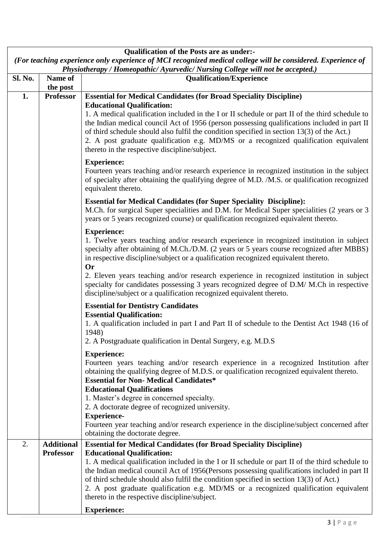|                | <b>Qualification of the Posts are as under:-</b> |                                                                                                                                                                                                                                                                                                                                                                                                                                                                             |  |  |  |  |  |
|----------------|--------------------------------------------------|-----------------------------------------------------------------------------------------------------------------------------------------------------------------------------------------------------------------------------------------------------------------------------------------------------------------------------------------------------------------------------------------------------------------------------------------------------------------------------|--|--|--|--|--|
|                |                                                  | (For teaching experience only experience of MCI recognized medical college will be considered. Experience of<br>Physiotherapy / Homeopathic/ Ayurvedic/ Nursing College will not be accepted.)                                                                                                                                                                                                                                                                              |  |  |  |  |  |
| <b>Sl. No.</b> | Name of<br>the post                              | <b>Qualification/Experience</b>                                                                                                                                                                                                                                                                                                                                                                                                                                             |  |  |  |  |  |
| 1.             | <b>Professor</b>                                 | <b>Essential for Medical Candidates (for Broad Speciality Discipline)</b>                                                                                                                                                                                                                                                                                                                                                                                                   |  |  |  |  |  |
|                |                                                  | <b>Educational Qualification:</b><br>1. A medical qualification included in the I or II schedule or part II of the third schedule to<br>the Indian medical council Act of 1956 (person possessing qualifications included in part II<br>of third schedule should also fulfil the condition specified in section 13(3) of the Act.)<br>2. A post graduate qualification e.g. MD/MS or a recognized qualification equivalent<br>thereto in the respective discipline/subject. |  |  |  |  |  |
|                |                                                  | <b>Experience:</b><br>Fourteen years teaching and/or research experience in recognized institution in the subject<br>of specialty after obtaining the qualifying degree of M.D. /M.S. or qualification recognized<br>equivalent thereto.                                                                                                                                                                                                                                    |  |  |  |  |  |
|                |                                                  | <b>Essential for Medical Candidates (for Super Speciality Discipline):</b><br>M.Ch. for surgical Super specialities and D.M. for Medical Super specialities (2 years or 3<br>years or 5 years recognized course) or qualification recognized equivalent thereto.                                                                                                                                                                                                            |  |  |  |  |  |
|                |                                                  | <b>Experience:</b><br>1. Twelve years teaching and/or research experience in recognized institution in subject<br>specialty after obtaining of M.Ch./D.M. (2 years or 5 years course recognized after MBBS)<br>in respective discipline/subject or a qualification recognized equivalent thereto.<br><b>Or</b>                                                                                                                                                              |  |  |  |  |  |
|                |                                                  | 2. Eleven years teaching and/or research experience in recognized institution in subject<br>specialty for candidates possessing 3 years recognized degree of D.M/ M.Ch in respective<br>discipline/subject or a qualification recognized equivalent thereto.                                                                                                                                                                                                                |  |  |  |  |  |
|                |                                                  | <b>Essential for Dentistry Candidates</b>                                                                                                                                                                                                                                                                                                                                                                                                                                   |  |  |  |  |  |
|                |                                                  | <b>Essential Qualification:</b><br>1. A qualification included in part I and Part II of schedule to the Dentist Act 1948 (16 of<br>1948)                                                                                                                                                                                                                                                                                                                                    |  |  |  |  |  |
|                |                                                  | 2. A Postgraduate qualification in Dental Surgery, e.g. M.D.S                                                                                                                                                                                                                                                                                                                                                                                                               |  |  |  |  |  |
|                |                                                  | <b>Experience:</b><br>Fourteen years teaching and/or research experience in a recognized Institution after<br>obtaining the qualifying degree of M.D.S. or qualification recognized equivalent thereto.<br><b>Essential for Non- Medical Candidates*</b><br><b>Educational Qualifications</b>                                                                                                                                                                               |  |  |  |  |  |
|                |                                                  | 1. Master's degree in concerned specialty.                                                                                                                                                                                                                                                                                                                                                                                                                                  |  |  |  |  |  |
|                |                                                  | 2. A doctorate degree of recognized university.<br><b>Experience-</b>                                                                                                                                                                                                                                                                                                                                                                                                       |  |  |  |  |  |
|                |                                                  | Fourteen year teaching and/or research experience in the discipline/subject concerned after                                                                                                                                                                                                                                                                                                                                                                                 |  |  |  |  |  |
| 2.             | <b>Additional</b>                                | obtaining the doctorate degree.<br><b>Essential for Medical Candidates (for Broad Speciality Discipline)</b>                                                                                                                                                                                                                                                                                                                                                                |  |  |  |  |  |
|                | <b>Professor</b>                                 | <b>Educational Qualification:</b><br>1. A medical qualification included in the I or II schedule or part II of the third schedule to                                                                                                                                                                                                                                                                                                                                        |  |  |  |  |  |
|                |                                                  | the Indian medical council Act of 1956(Persons possessing qualifications included in part II<br>of third schedule should also fulfil the condition specified in section 13(3) of Act.)<br>2. A post graduate qualification e.g. MD/MS or a recognized qualification equivalent<br>thereto in the respective discipline/subject.                                                                                                                                             |  |  |  |  |  |
|                |                                                  | <b>Experience:</b>                                                                                                                                                                                                                                                                                                                                                                                                                                                          |  |  |  |  |  |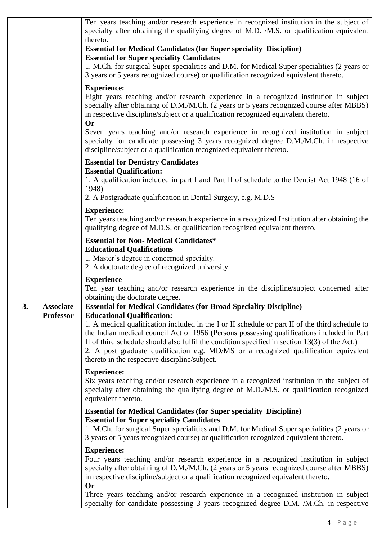|    |                                      | Ten years teaching and/or research experience in recognized institution in the subject of<br>specialty after obtaining the qualifying degree of M.D. /M.S. or qualification equivalent<br>thereto.<br><b>Essential for Medical Candidates (for Super speciality Discipline)</b><br><b>Essential for Super speciality Candidates</b><br>1. M.Ch. for surgical Super specialities and D.M. for Medical Super specialities (2 years or<br>3 years or 5 years recognized course) or qualification recognized equivalent thereto.                                          |
|----|--------------------------------------|-----------------------------------------------------------------------------------------------------------------------------------------------------------------------------------------------------------------------------------------------------------------------------------------------------------------------------------------------------------------------------------------------------------------------------------------------------------------------------------------------------------------------------------------------------------------------|
|    |                                      | <b>Experience:</b><br>Eight years teaching and/or research experience in a recognized institution in subject<br>specialty after obtaining of D.M./M.Ch. (2 years or 5 years recognized course after MBBS)<br>in respective discipline/subject or a qualification recognized equivalent thereto.<br><b>Or</b><br>Seven years teaching and/or research experience in recognized institution in subject<br>specialty for candidate possessing 3 years recognized degree D.M./M.Ch. in respective<br>discipline/subject or a qualification recognized equivalent thereto. |
|    |                                      | <b>Essential for Dentistry Candidates</b><br><b>Essential Qualification:</b>                                                                                                                                                                                                                                                                                                                                                                                                                                                                                          |
|    |                                      | 1. A qualification included in part I and Part II of schedule to the Dentist Act 1948 (16 of<br>1948)<br>2. A Postgraduate qualification in Dental Surgery, e.g. M.D.S                                                                                                                                                                                                                                                                                                                                                                                                |
|    |                                      | <b>Experience:</b><br>Ten years teaching and/or research experience in a recognized Institution after obtaining the<br>qualifying degree of M.D.S. or qualification recognized equivalent thereto.                                                                                                                                                                                                                                                                                                                                                                    |
|    |                                      | <b>Essential for Non-Medical Candidates*</b><br><b>Educational Qualifications</b><br>1. Master's degree in concerned specialty.<br>2. A doctorate degree of recognized university.                                                                                                                                                                                                                                                                                                                                                                                    |
|    |                                      | <b>Experience-</b><br>Ten year teaching and/or research experience in the discipline/subject concerned after<br>obtaining the doctorate degree.                                                                                                                                                                                                                                                                                                                                                                                                                       |
| 3. | <b>Associate</b><br><b>Professor</b> | <b>Essential for Medical Candidates (for Broad Speciality Discipline)</b><br><b>Educational Qualification:</b><br>1. A medical qualification included in the I or II schedule or part II of the third schedule to<br>the Indian medical council Act of 1956 (Persons possessing qualifications included in Part<br>II of third schedule should also fulfil the condition specified in section $13(3)$ of the Act.)<br>2. A post graduate qualification e.g. MD/MS or a recognized qualification equivalent<br>thereto in the respective discipline/subject.           |
|    |                                      | <b>Experience:</b><br>Six years teaching and/or research experience in a recognized institution in the subject of<br>specialty after obtaining the qualifying degree of M.D./M.S. or qualification recognized<br>equivalent thereto.                                                                                                                                                                                                                                                                                                                                  |
|    |                                      | <b>Essential for Medical Candidates (for Super speciality Discipline)</b><br><b>Essential for Super speciality Candidates</b><br>1. M.Ch. for surgical Super specialities and D.M. for Medical Super specialities (2 years or<br>3 years or 5 years recognized course) or qualification recognized equivalent thereto.                                                                                                                                                                                                                                                |
|    |                                      | <b>Experience:</b><br>Four years teaching and/or research experience in a recognized institution in subject<br>specialty after obtaining of D.M./M.Ch. (2 years or 5 years recognized course after MBBS)<br>in respective discipline/subject or a qualification recognized equivalent thereto.<br><b>Or</b>                                                                                                                                                                                                                                                           |
|    |                                      | Three years teaching and/or research experience in a recognized institution in subject<br>specialty for candidate possessing 3 years recognized degree D.M. /M.Ch. in respective                                                                                                                                                                                                                                                                                                                                                                                      |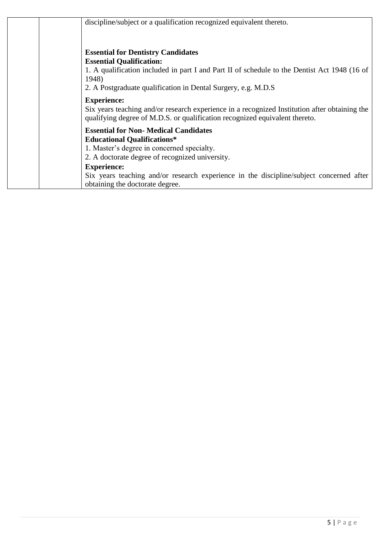| discipline/subject or a qualification recognized equivalent thereto.                                                                                                                                                                                                                                                                    |
|-----------------------------------------------------------------------------------------------------------------------------------------------------------------------------------------------------------------------------------------------------------------------------------------------------------------------------------------|
| <b>Essential for Dentistry Candidates</b><br><b>Essential Qualification:</b><br>1. A qualification included in part I and Part II of schedule to the Dentist Act 1948 (16 of<br>1948)<br>2. A Postgraduate qualification in Dental Surgery, e.g. M.D.S                                                                                  |
| <b>Experience:</b><br>Six years teaching and/or research experience in a recognized Institution after obtaining the<br>qualifying degree of M.D.S. or qualification recognized equivalent thereto.                                                                                                                                      |
| <b>Essential for Non- Medical Candidates</b><br><b>Educational Qualifications*</b><br>1. Master's degree in concerned specialty.<br>2. A doctorate degree of recognized university.<br><b>Experience:</b><br>Six years teaching and/or research experience in the discipline/subject concerned after<br>obtaining the doctorate degree. |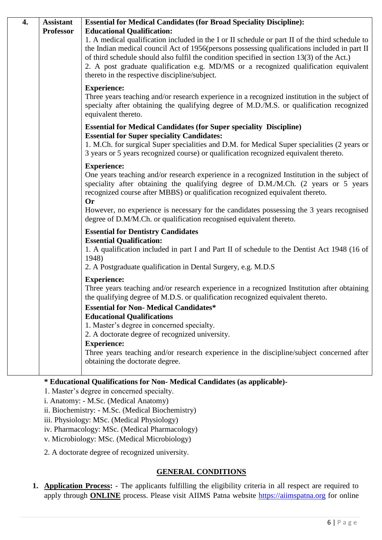| 4. | <b>Assistant</b> | <b>Essential for Medical Candidates (for Broad Speciality Discipline):</b>                                                                                                                                                                                                                                                                                                                                                             |
|----|------------------|----------------------------------------------------------------------------------------------------------------------------------------------------------------------------------------------------------------------------------------------------------------------------------------------------------------------------------------------------------------------------------------------------------------------------------------|
|    | <b>Professor</b> | <b>Educational Qualification:</b>                                                                                                                                                                                                                                                                                                                                                                                                      |
|    |                  | 1. A medical qualification included in the I or II schedule or part II of the third schedule to<br>the Indian medical council Act of 1956(persons possessing qualifications included in part II<br>of third schedule should also fulfil the condition specified in section 13(3) of the Act.)<br>2. A post graduate qualification e.g. MD/MS or a recognized qualification equivalent<br>thereto in the respective discipline/subject. |
|    |                  | <b>Experience:</b><br>Three years teaching and/or research experience in a recognized institution in the subject of<br>specialty after obtaining the qualifying degree of M.D./M.S. or qualification recognized<br>equivalent thereto.                                                                                                                                                                                                 |
|    |                  | <b>Essential for Medical Candidates (for Super speciality Discipline)</b><br><b>Essential for Super speciality Candidates:</b>                                                                                                                                                                                                                                                                                                         |
|    |                  | 1. M.Ch. for surgical Super specialities and D.M. for Medical Super specialities (2 years or<br>3 years or 5 years recognized course) or qualification recognized equivalent thereto.                                                                                                                                                                                                                                                  |
|    |                  | <b>Experience:</b><br>One years teaching and/or research experience in a recognized Institution in the subject of<br>speciality after obtaining the qualifying degree of D.M./M.Ch. (2 years or 5 years<br>recognized course after MBBS) or qualification recognized equivalent thereto.<br><b>Or</b>                                                                                                                                  |
|    |                  | However, no experience is necessary for the candidates possessing the 3 years recognised<br>degree of D.M/M.Ch. or qualification recognised equivalent thereto.                                                                                                                                                                                                                                                                        |
|    |                  | <b>Essential for Dentistry Candidates</b>                                                                                                                                                                                                                                                                                                                                                                                              |
|    |                  | <b>Essential Qualification:</b><br>1. A qualification included in part I and Part II of schedule to the Dentist Act 1948 (16 of<br>1948)                                                                                                                                                                                                                                                                                               |
|    |                  | 2. A Postgraduate qualification in Dental Surgery, e.g. M.D.S                                                                                                                                                                                                                                                                                                                                                                          |
|    |                  | <b>Experience:</b><br>Three years teaching and/or research experience in a recognized Institution after obtaining<br>the qualifying degree of M.D.S. or qualification recognized equivalent thereto.                                                                                                                                                                                                                                   |
|    |                  | <b>Essential for Non- Medical Candidates*</b>                                                                                                                                                                                                                                                                                                                                                                                          |
|    |                  | <b>Educational Qualifications</b><br>1. Master's degree in concerned specialty.                                                                                                                                                                                                                                                                                                                                                        |
|    |                  | 2. A doctorate degree of recognized university.                                                                                                                                                                                                                                                                                                                                                                                        |
|    |                  | <b>Experience:</b><br>Three years teaching and/or research experience in the discipline/subject concerned after<br>obtaining the doctorate degree.                                                                                                                                                                                                                                                                                     |

### **\* Educational Qualifications for Non- Medical Candidates (as applicable)-**

1. Master's degree in concerned specialty.

i. Anatomy: - M.Sc. (Medical Anatomy)

ii. Biochemistry: - M.Sc. (Medical Biochemistry)

iii. Physiology: MSc. (Medical Physiology)

iv. Pharmacology: MSc. (Medical Pharmacology)

v. Microbiology: MSc. (Medical Microbiology)

2. A doctorate degree of recognized university.

## **GENERAL CONDITIONS**

**1. Application Process:** - The applicants fulfilling the eligibility criteria in all respect are required to apply through **ONLINE** process. Please visit AIIMS Patna website [https://aiimspatna.org](https://aiimspatna.org/) for online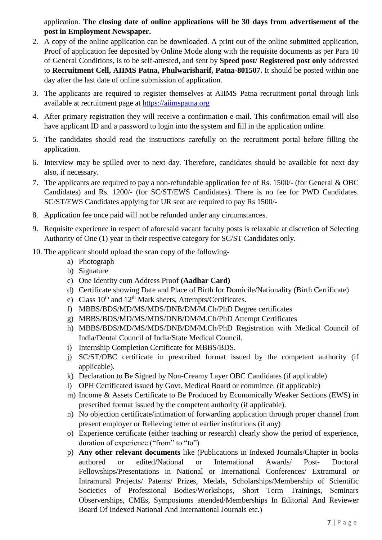application. **The closing date of online applications will be 30 days from advertisement of the post in Employment Newspaper.**

- 2. A copy of the online application can be downloaded. A print out of the online submitted application, Proof of application fee deposited by Online Mode along with the requisite documents as per Para 10 of General Conditions, is to be self-attested, and sent by **Speed post/ Registered post only** addressed to **Recruitment Cell, AIIMS Patna, Phulwarisharif, Patna-801507.** It should be posted within one day after the last date of online submission of application.
- 3. The applicants are required to register themselves at AIIMS Patna recruitment portal through link available at recruitment page at [https://aiimspatna.org](https://aiimspatna.org/)
- 4. After primary registration they will receive a confirmation e-mail. This confirmation email will also have applicant ID and a password to login into the system and fill in the application online.
- 5. The candidates should read the instructions carefully on the recruitment portal before filling the application.
- 6. Interview may be spilled over to next day. Therefore, candidates should be available for next day also, if necessary.
- 7. The applicants are required to pay a non-refundable application fee of Rs. 1500/- (for General & OBC Candidates) and Rs. 1200/- (for SC/ST/EWS Candidates). There is no fee for PWD Candidates. SC/ST/EWS Candidates applying for UR seat are required to pay Rs 1500/-
- 8. Application fee once paid will not be refunded under any circumstances.
- 9. Requisite experience in respect of aforesaid vacant faculty posts is relaxable at discretion of Selecting Authority of One (1) year in their respective category for SC/ST Candidates only.
- 10. The applicant should upload the scan copy of the following
	- a) Photograph
	- b) Signature
	- c) One Identity cum Address Proof **(Aadhar Card)**
	- d) Certificate showing Date and Place of Birth for Domicile/Nationality (Birth Certificate)
	- e) Class  $10^{th}$  and  $12^{th}$  Mark sheets, Attempts/Certificates.
	- f) MBBS/BDS/MD/MS/MDS/DNB/DM/M.Ch/PhD Degree certificates
	- g) MBBS/BDS/MD/MS/MDS/DNB/DM/M.Ch/PhD Attempt Certificates
	- h) MBBS/BDS/MD/MS/MDS/DNB/DM/M.Ch/PhD Registration with Medical Council of India/Dental Council of India/State Medical Council.
	- i) Internship Completion Certificate for MBBS/BDS.
	- j) SC/ST/OBC certificate in prescribed format issued by the competent authority (if applicable).
	- k) Declaration to Be Signed by Non-Creamy Layer OBC Candidates (if applicable)
	- l) OPH Certificated issued by Govt. Medical Board or committee. (if applicable)
	- m) Income & Assets Certificate to Be Produced by Economically Weaker Sections (EWS) in prescribed format issued by the competent authority (if applicable).
	- n) No objection certificate/intimation of forwarding application through proper channel from present employer or Relieving letter of earlier institutions (if any)
	- o) Experience certificate (either teaching or research) clearly show the period of experience, duration of experience ("from" to "to")
	- p) **Any other relevant documents** like (Publications in Indexed Journals/Chapter in books authored or edited/National or International Awards/ Post- Doctoral Fellowships/Presentations in National or International Conferences/ Extramural or Intramural Projects/ Patents/ Prizes, Medals, Scholarships/Membership of Scientific Societies of Professional Bodies/Workshops, Short Term Trainings, Seminars Observerships, CMEs, Symposiums attended/Memberships In Editorial And Reviewer Board Of Indexed National And International Journals etc.)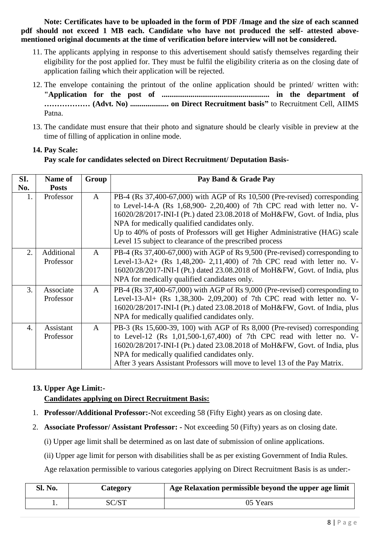**Note: Certificates have to be uploaded in the form of PDF /Image and the size of each scanned pdf should not exceed 1 MB each. Candidate who have not produced the self- attested abovementioned original documents at the time of verification before interview will not be considered.**

- 11. The applicants applying in response to this advertisement should satisfy themselves regarding their eligibility for the post applied for. They must be fulfil the eligibility criteria as on the closing date of application failing which their application will be rejected.
- 12. The envelope containing the printout of the online application should be printed/ written with: **"Application for the post of ........................................................ in the department of ……………… (Advt. No) .................... on Direct Recruitment basis"** to Recruitment Cell, AIIMS Patna.
- 13. The candidate must ensure that their photo and signature should be clearly visible in preview at the time of filling of application in online mode.

# **14. Pay Scale: Pay scale for candidates selected on Direct Recruitment/ Deputation Basis-**

| SI.              | Name of                 | Group        | Pay Band & Grade Pay                                                                                                                                                                                                                                                                                                                                                                                                          |
|------------------|-------------------------|--------------|-------------------------------------------------------------------------------------------------------------------------------------------------------------------------------------------------------------------------------------------------------------------------------------------------------------------------------------------------------------------------------------------------------------------------------|
| No.              | <b>Posts</b>            |              |                                                                                                                                                                                                                                                                                                                                                                                                                               |
| 1.               | Professor               | A            | PB-4 (Rs 37,400-67,000) with AGP of Rs 10,500 (Pre-revised) corresponding<br>to Level-14-A (Rs 1,68,900- 2,20,400) of 7th CPC read with letter no. V-<br>16020/28/2017-INI-I (Pt.) dated 23.08.2018 of MoH&FW, Govt. of India, plus<br>NPA for medically qualified candidates only.<br>Up to 40% of posts of Professors will get Higher Administrative (HAG) scale<br>Level 15 subject to clearance of the prescribed process |
| $\overline{2}$ . | Additional<br>Professor | A            | PB-4 (Rs 37,400-67,000) with AGP of Rs 9,500 (Pre-revised) corresponding to<br>Level-13-A2+ (Rs $1,48,200-2,11,400$ ) of 7th CPC read with letter no. V-<br>16020/28/2017-INI-I (Pt.) dated 23.08.2018 of MoH&FW, Govt. of India, plus<br>NPA for medically qualified candidates only.                                                                                                                                        |
| 3.               | Associate<br>Professor  | $\mathbf{A}$ | PB-4 (Rs 37,400-67,000) with AGP of Rs 9,000 (Pre-revised) corresponding to<br>Level-13-Al+ (Rs 1,38,300- 2,09,200) of 7th CPC read with letter no. V-<br>16020/28/2017-INI-I (Pt.) dated 23.08.2018 of MoH&FW, Govt. of India, plus<br>NPA for medically qualified candidates only.                                                                                                                                          |
| $\overline{4}$ . | Assistant<br>Professor  | $\mathbf{A}$ | PB-3 (Rs 15,600-39, 100) with AGP of Rs 8,000 (Pre-revised) corresponding<br>to Level-12 (Rs 1,01,500-1,67,400) of 7th CPC read with letter no. V-<br>16020/28/2017-INI-I (Pt.) dated 23.08.2018 of MoH&FW, Govt. of India, plus<br>NPA for medically qualified candidates only.<br>After 3 years Assistant Professors will move to level 13 of the Pay Matrix.                                                               |

## **13. Upper Age Limit:- Candidates applying on Direct Recruitment Basis:**

- 1. **Professor/Additional Professor:-**Not exceeding 58 (Fifty Eight) years as on closing date.
- 2. **Associate Professor/ Assistant Professor: -** Not exceeding 50 (Fifty) years as on closing date.
	- (i) Upper age limit shall be determined as on last date of submission of online applications.
	- (ii) Upper age limit for person with disabilities shall be as per existing Government of India Rules.

Age relaxation permissible to various categories applying on Direct Recruitment Basis is as under:-

| Sl. No. | Category | Age Relaxation permissible beyond the upper age limit |
|---------|----------|-------------------------------------------------------|
|         | SC/ST    | 05 Years                                              |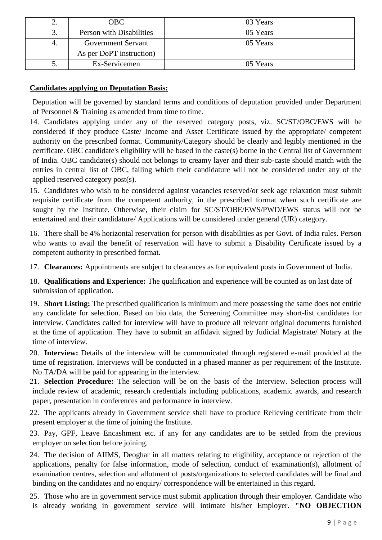| ٠. | OBC .                     | 03 Years |
|----|---------------------------|----------|
| 3. | Person with Disabilities  | 05 Years |
|    | <b>Government Servant</b> | 05 Years |
|    | As per DoPT instruction)  |          |
| ັ. | Ex-Servicemen             | 05 Years |

### **Candidates applying on Deputation Basis:**

Deputation will be governed by standard terms and conditions of deputation provided under Department of Personnel & Training as amended from time to time.

14. Candidates applying under any of the reserved category posts, viz. SC/ST/OBC/EWS will be considered if they produce Caste/ Income and Asset Certificate issued by the appropriate/ competent authority on the prescribed format. Community/Category should be clearly and legibly mentioned in the certificate. OBC candidate's eligibility will be based in the caste(s) borne in the Central list of Government of India. OBC candidate(s) should not belongs to creamy layer and their sub-caste should match with the entries in central list of OBC, failing which their candidature will not be considered under any of the applied reserved category post(s).

15. Candidates who wish to be considered against vacancies reserved/or seek age relaxation must submit requisite certificate from the competent authority, in the prescribed format when such certificate are sought by the Institute. Otherwise, their claim for SC/ST/OBE/EWS/PWD/EWS status will not be entertained and their candidature/ Applications will be considered under general (UR) category.

16. There shall be 4% horizontal reservation for person with disabilities as per Govt. of India rules. Person who wants to avail the benefit of reservation will have to submit a Disability Certificate issued by a competent authority in prescribed format.

17. **Clearances:** Appointments are subject to clearances as for equivalent posts in Government of India.

18. **Qualifications and Experience:** The qualification and experience will be counted as on last date of submission of application.

- 19. **Short Listing:** The prescribed qualification is minimum and mere possessing the same does not entitle any candidate for selection. Based on bio data, the Screening Committee may short-list candidates for interview. Candidates called for interview will have to produce all relevant original documents furnished at the time of application. They have to submit an affidavit signed by Judicial Magistrate/ Notary at the time of interview.
- 20. **Interview:** Details of the interview will be communicated through registered e-mail provided at the time of registration. Interviews will be conducted in a phased manner as per requirement of the Institute. No TA/DA will be paid for appearing in the interview.
- 21. **Selection Procedure:** The selection will be on the basis of the Interview. Selection process will include review of academic, research credentials including publications, academic awards, and research paper, presentation in conferences and performance in interview.
- 22. The applicants already in Government service shall have to produce Relieving certificate from their present employer at the time of joining the Institute.
- 23. Pay, GPF, Leave Encashment etc. if any for any candidates are to be settled from the previous employer on selection before joining.
- 24. The decision of AIIMS, Deoghar in all matters relating to eligibility, acceptance or rejection of the applications, penalty for false information, mode of selection, conduct of examination(s), allotment of examination centres, selection and allotment of posts/organizations to selected candidates will be final and binding on the candidates and no enquiry/ correspondence will be entertained in this regard.
- 25. Those who are in government service must submit application through their employer. Candidate who is already working in government service will intimate his/her Employer. **"NO OBJECTION**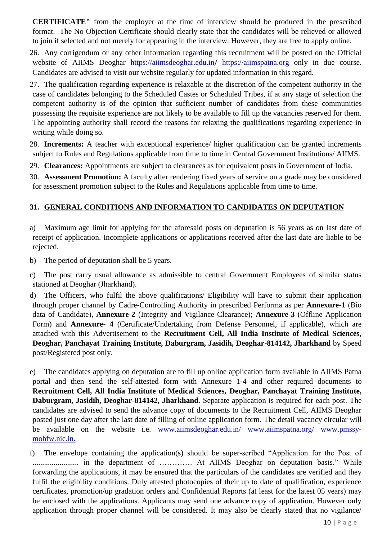**CERTIFICATE"** from the employer at the time of interview should be produced in the prescribed format. The No Objection Certificate should clearly state that the candidates will be relieved or allowed to join if selected and not merely for appearing in the interview. However, they are free to apply online.

26. Any corrigendum or any other information regarding this recruitment will be posted on the Official website of AIIMS Deoghar [https://aiimsdeoghar.edu.in](https://aiimsdeoghar.edu.in/%20https:/aiimspatna.org)/ https://aiimspatna.org only in due course. Candidates are advised to visit our website regularly for updated information in this regard.

27. The qualification regarding experience is relaxable at the discretion of the competent authority in the case of candidates belonging to the Scheduled Castes or Scheduled Tribes, if at any stage of selection the competent authority is of the opinion that sufficient number of candidates from these communities possessing the requisite experience are not likely to be available to fill up the vacancies reserved for them. The appointing authority shall record the reasons for relaxing the qualifications regarding experience in writing while doing so.

28. **Increments:** A teacher with exceptional experience/ higher qualification can be granted increments subject to Rules and Regulations applicable from time to time in Central Government Institutions/ AIIMS.

29. **Clearances:** Appointments are subject to clearances as for equivalent posts in Government of India.

30. **Assessment Promotion:** A faculty after rendering fixed years of service on a grade may be considered for assessment promotion subject to the Rules and Regulations applicable from time to time.

### **31. GENERAL CONDITIONS AND INFORMATION TO CANDIDATES ON DEPUTATION**

- a) Maximum age limit for applying for the aforesaid posts on deputation is 56 years as on last date of receipt of application. Incomplete applications or applications received after the last date are liable to be rejected.
- b) The period of deputation shall be 5 years.
- c) The post carry usual allowance as admissible to central Government Employees of similar status stationed at Deoghar (Jharkhand).
- d) The Officers, who fulfil the above qualifications/ Eligibility will have to submit their application through proper channel by Cadre-Controlling Authority in prescribed Performa as per **Annexure-1** (Bio data of Candidate), **Annexure-2** (Integrity and Vigilance Clearance); **Annexure-3** (Offline Application Form) and **Annexure- 4** (Certificate/Undertaking from Defense Personnel, if applicable), which are attached with this Advertisement to the **Recruitment Cell, All India Institute of Medical Sciences, Deoghar, Panchayat Training Institute, Daburgram, Jasidih, Deoghar-814142, Jharkhand** by Speed post/Registered post only.
- e) The candidates applying on deputation are to fill up online application form available in AIIMS Patna portal and then send the self-attested form with Annexure 1-4 and other required documents to **Recruitment Cell, All India Institute of Medical Sciences, Deoghar, Panchayat Training Institute, Daburgram, Jasidih, Deoghar-814142, Jharkhand.** Separate application is required for each post. The candidates are advised to send the advance copy of documents to the Recruitment Cell, AIIMS Deoghar posted just one day after the last date of filling of online application form. The detail vacancy circular will be available on the website i.e. [www.aiimsdeoghar.edu.in/ www.aiimspatna.org/ www.pmssy](http://www.aiimsdeoghar.edu.in/%20www.aiimspatna.org/%20www.pmssy-mohfw.nic.in)[mohfw.nic.in.](http://www.aiimsdeoghar.edu.in/%20www.aiimspatna.org/%20www.pmssy-mohfw.nic.in)

f) The envelope containing the application(s) should be super-scribed "Application for the Post of ........................ in the department of …………. At AIIMS Deoghar on deputation basis." While forwarding the applications, it may be ensured that the particulars of the candidates are verified and they fulfil the eligibility conditions. Duly attested photocopies of their up to date of qualification, experience certificates, promotion/up gradation orders and Confidential Reports (at least for the latest 05 years) may be enclosed with the applications. Applicants may send one advance copy of application. However only application through proper channel will be considered. It may also be clearly stated that no vigilance/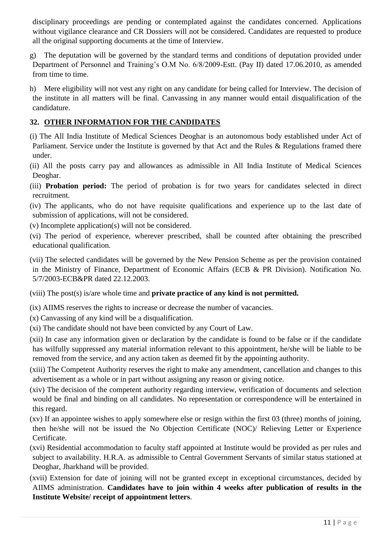disciplinary proceedings are pending or contemplated against the candidates concerned. Applications without vigilance clearance and CR Dossiers will not be considered. Candidates are requested to produce all the original supporting documents at the time of Interview.

- The deputation will be governed by the standard terms and conditions of deputation provided under Department of Personnel and Training's O.M No. 6/8/2009-Estt. (Pay II) dated 17.06.2010, as amended from time to time.
- h) Mere eligibility will not vest any right on any candidate for being called for Interview. The decision of the institute in all matters will be final. Canvassing in any manner would entail disqualification of the candidature.

### **32. OTHER INFORMATION FOR THE CANDIDATES**

- (i) The All India Institute of Medical Sciences Deoghar is an autonomous body established under Act of Parliament. Service under the Institute is governed by that Act and the Rules & Regulations framed there under.
- (ii) All the posts carry pay and allowances as admissible in All India Institute of Medical Sciences Deoghar.
- (iii) **Probation period:** The period of probation is for two years for candidates selected in direct recruitment.
- (iv) The applicants, who do not have requisite qualifications and experience up to the last date of submission of applications, will not be considered.
- (v) Incomplete application(s) will not be considered.
- (vi) The period of experience, wherever prescribed, shall be counted after obtaining the prescribed educational qualification.
- (vii) The selected candidates will be governed by the New Pension Scheme as per the provision contained in the Ministry of Finance, Department of Economic Affairs (ECB & PR Division). Notification No. 5/7/2003-ECB&PR dated 22.12.2003.
- (viii) The post(s) is/are whole time and **private practice of any kind is not permitted.**
- (ix) AIIMS reserves the rights to increase or decrease the number of vacancies.
- (x) Canvassing of any kind will be a disqualification.
- (xi) The candidate should not have been convicted by any Court of Law.
- (xii) In case any information given or declaration by the candidate is found to be false or if the candidate has wilfully suppressed any material information relevant to this appointment, he/she will be liable to be removed from the service, and any action taken as deemed fit by the appointing authority.
- (xiii) The Competent Authority reserves the right to make any amendment, cancellation and changes to this advertisement as a whole or in part without assigning any reason or giving notice.
- (xiv) The decision of the competent authority regarding interview, verification of documents and selection would be final and binding on all candidates. No representation or correspondence will be entertained in this regard.
- (xv) If an appointee wishes to apply somewhere else or resign within the first 03 (three) months of joining, then he/she will not be issued the No Objection Certificate (NOC)/ Relieving Letter or Experience Certificate.
- (xvi) Residential accommodation to faculty staff appointed at Institute would be provided as per rules and subject to availability. H.R.A. as admissible to Central Government Servants of similar status stationed at Deoghar, Jharkhand will be provided.
- (xvii) Extension for date of joining will not be granted except in exceptional circumstances, decided by AIIMS administration. **Candidates have to join within 4 weeks after publication of results in the Institute Website/ receipt of appointment letters**.